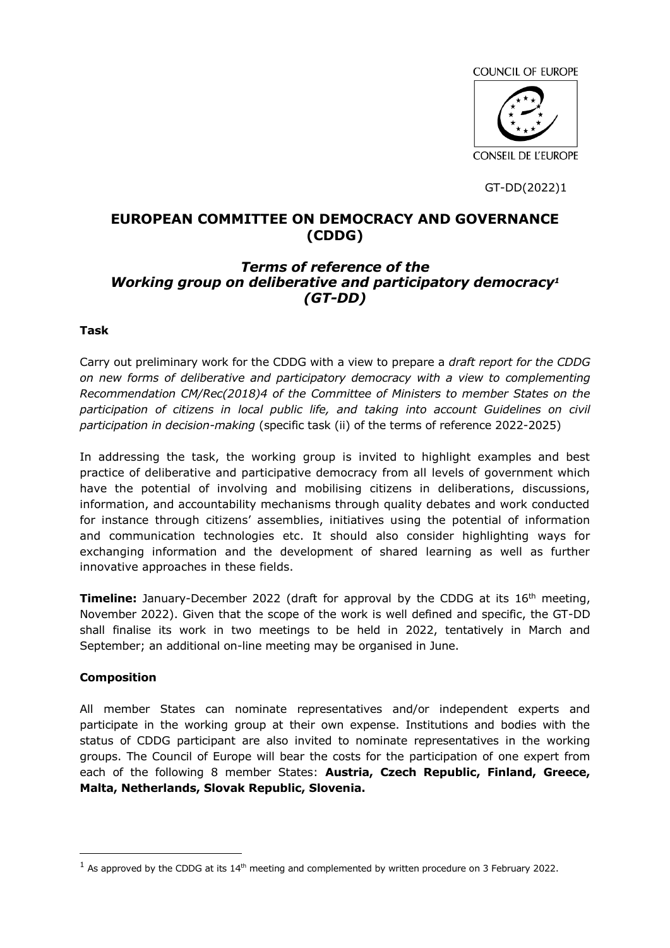COUNCIL OF EUROPE



GT-DD(2022)1

# **EUROPEAN COMMITTEE ON DEMOCRACY AND GOVERNANCE (CDDG)**

# *Terms of reference of the Working group on deliberative and participatory democracy<sup>1</sup> (GT-DD)*

#### **Task**

Carry out preliminary work for the CDDG with a view to prepare a *draft report for the CDDG on new forms of deliberative and participatory democracy with a view to complementing Recommendation CM/Rec(2018)4 of the Committee of Ministers to member States on the*  participation of citizens in local public life, and taking into account Guidelines on civil *participation in decision-making* (specific task (ii) of the terms of reference 2022-2025)

In addressing the task, the working group is invited to highlight examples and best practice of deliberative and participative democracy from all levels of government which have the potential of involving and mobilising citizens in deliberations, discussions, information, and accountability mechanisms through quality debates and work conducted for instance through citizens' assemblies, initiatives using the potential of information and communication technologies etc. It should also consider highlighting ways for exchanging information and the development of shared learning as well as further innovative approaches in these fields.

**Timeline:** January-December 2022 (draft for approval by the CDDG at its 16<sup>th</sup> meeting, November 2022). Given that the scope of the work is well defined and specific, the GT-DD shall finalise its work in two meetings to be held in 2022, tentatively in March and September; an additional on-line meeting may be organised in June.

#### **Composition**

 $\overline{a}$ 

All member States can nominate representatives and/or independent experts and participate in the working group at their own expense. Institutions and bodies with the status of CDDG participant are also invited to nominate representatives in the working groups. The Council of Europe will bear the costs for the participation of one expert from each of the following 8 member States: **Austria, Czech Republic, Finland, Greece, Malta, Netherlands, Slovak Republic, Slovenia.**

 $1$  As approved by the CDDG at its 14<sup>th</sup> meeting and complemented by written procedure on 3 February 2022.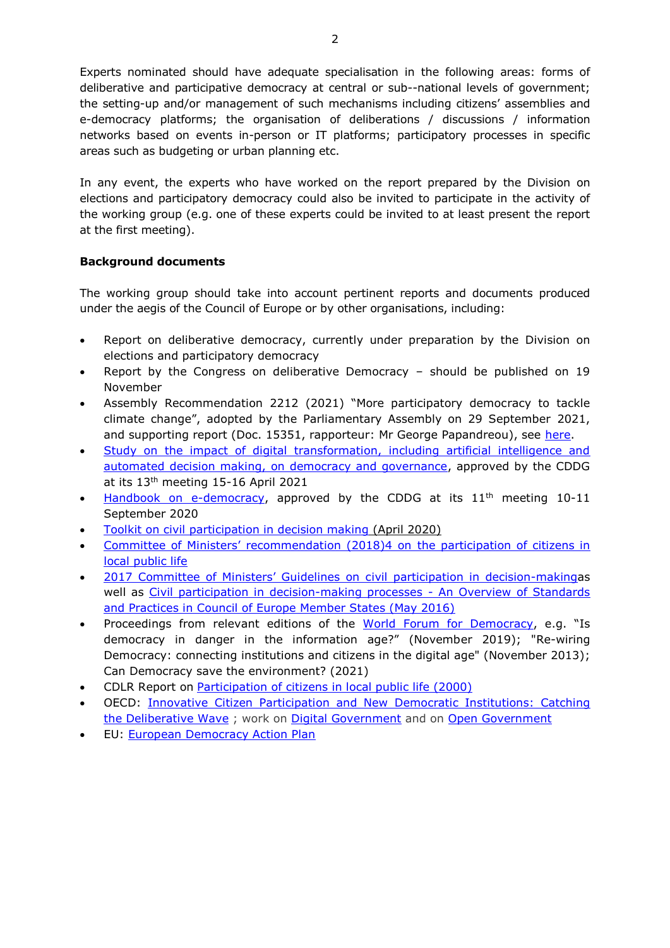Experts nominated should have adequate specialisation in the following areas: forms of deliberative and participative democracy at central or sub--national levels of government; the setting-up and/or management of such mechanisms including citizens' assemblies and e-democracy platforms; the organisation of deliberations / discussions / information networks based on events in-person or IT platforms; participatory processes in specific areas such as budgeting or urban planning etc.

In any event, the experts who have worked on the report prepared by the Division on elections and participatory democracy could also be invited to participate in the activity of the working group (e.g. one of these experts could be invited to at least present the report at the first meeting).

### **Background documents**

The working group should take into account pertinent reports and documents produced under the aegis of the Council of Europe or by other organisations, including:

- Report on deliberative democracy, currently under preparation by the Division on elections and participatory democracy
- Report by the Congress on deliberative Democracy should be published on 19 November
- Assembly Recommendation 2212 (2021) "More participatory democracy to tackle climate change", adopted by the Parliamentary Assembly on 29 September 2021, and supporting report (Doc. 15351, rapporteur: Mr George Papandreou), see [here.](https://pace.coe.int/en/files/29516)
- [Study on the impact of digital transformation, including artificial intelligence and](https://rm.coe.int/study-on-the-impact-of-digital-transformation-on-democracy-and-good-go/1680a3b9f9)  [automated decision making, on democracy and governance,](https://rm.coe.int/study-on-the-impact-of-digital-transformation-on-democracy-and-good-go/1680a3b9f9) approved by the CDDG at its 13th meeting 15-16 April 2021
- [Handbook on e-democracy,](https://rm.coe.int/handbook-e-democracy/16809fda61) approved by the CDDG at its 11<sup>th</sup> meeting 10-11 September 2020
- [Toolkit on civil participation in decision making](https://rm.coe.int/civil-participation-in-decision-making-toolkit-/168075c1a5) (April 2020)
- [Committee of Ministers' recommendation \(2018\)4 on](https://rm.coe.int/16807954c3) the participation of citizens in [local public life](https://rm.coe.int/16807954c3)
- [2017 Committee of Ministers' Guidelines on c](https://www.coe.int/en/web/civil-society/guidelines)ivil participation in decision-makingas well as [Civil participation in decision-making processes -](http://rm.coe.int/civil-participation-in-decision-making-processes-an-overview-of-standa/1680701801) An Overview of Standards and Practices in Council of [Europe Member States \(May 2016\)](http://rm.coe.int/civil-participation-in-decision-making-processes-an-overview-of-standa/1680701801)
- Proceedings from relevant editions of the [World Forum for Democracy](https://www.coe.int/en/web/world-forum-democracy/previous-forums), e.g. "Is democracy in danger in the information age?" (November 2019); "Re-wiring Democracy: connecting institutions and citizens in the digital age" (November 2013); Can Democracy save the environment? (2021)
- CDLR Report on [Participation of citizens in local public life \(2000\)](http://wcd.coe.int/ViewDoc.jsp?id=1388041&Site=&BackColorInternet=B9BDEE&BackColorIntranet=FFCD4F&BackColorLogged=FFC679)
- OECD: [Innovative Citizen Participation and New Democratic Institutions: Catching](https://www.oecd.org/gov/innovative-citizen-participation-and-new-democratic-institutions-339306da-en.htm)  [the Deliberative Wave](https://www.oecd.org/gov/innovative-citizen-participation-and-new-democratic-institutions-339306da-en.htm); work on [Digital Government](https://www.oecd.org/gov/digital-government/) and on [Open Government](https://www.oecd.org/gov/open-government/)
- EU: [European Democracy Action Plan](https://ec.europa.eu/info/strategy/priorities-2019-2024/new-push-european-democracy/european-democracy-action-plan_en)